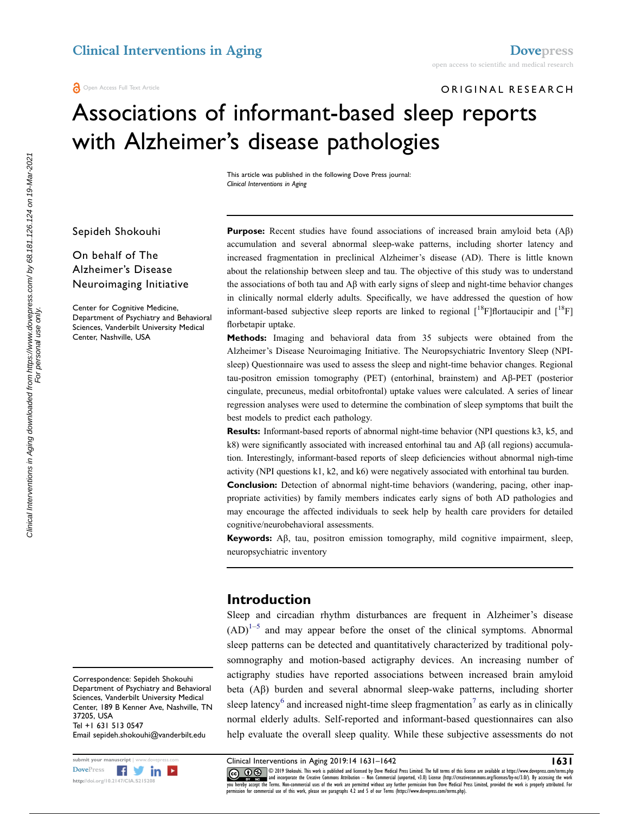Open Access Full Text Article

ORIGINAL RESEARCH

## Associations of informant-based sleep reports with Alzheimer's disease pathologies

This article was published in the following Dove Press journal: Clinical Interventions in Aging

Sepideh Shokouhi

On behalf of The Alzheimer's Disease Neuroimaging Initiative

Center for Cognitive Medicine, Department of Psychiatry and Behavioral Sciences, Vanderbilt University Medical Center, Nashville, USA

Purpose: Recent studies have found associations of increased brain amyloid beta (Aβ) accumulation and several abnormal sleep-wake patterns, including shorter latency and increased fragmentation in preclinical Alzheimer's disease (AD). There is little known about the relationship between sleep and tau. The objective of this study was to understand the associations of both tau and  $\overrightarrow{AB}$  with early signs of sleep and night-time behavior changes in clinically normal elderly adults. Specifically, we have addressed the question of how informant-based subjective sleep reports are linked to regional  $[{}^{18}F]$ flortaucipir and  $[{}^{18}F]$ florbetapir uptake.

Methods: Imaging and behavioral data from 35 subjects were obtained from the Alzheimer's Disease Neuroimaging Initiative. The Neuropsychiatric Inventory Sleep (NPIsleep) Questionnaire was used to assess the sleep and night-time behavior changes. Regional tau-positron emission tomography (PET) (entorhinal, brainstem) and Aβ-PET (posterior cingulate, precuneus, medial orbitofrontal) uptake values were calculated. A series of linear regression analyses were used to determine the combination of sleep symptoms that built the best models to predict each pathology.

Results: Informant-based reports of abnormal night-time behavior (NPI questions k3, k5, and k8) were significantly associated with increased entorhinal tau and Aβ (all regions) accumulation. Interestingly, informant-based reports of sleep deficiencies without abnormal nigh-time activity (NPI questions k1, k2, and k6) were negatively associated with entorhinal tau burden.

Conclusion: Detection of abnormal night-time behaviors (wandering, pacing, other inappropriate activities) by family members indicates early signs of both AD pathologies and may encourage the affected individuals to seek help by health care providers for detailed cognitive/neurobehavioral assessments.

Keywords: Aβ, tau, positron emission tomography, mild cognitive impairment, sleep, neuropsychiatric inventory

#### Introduction

<span id="page-0-0"></span>Sleep and circadian rhythm disturbances are frequent in Alzheimer's disease  $(AD)^{1-5}$  $(AD)^{1-5}$  $(AD)^{1-5}$  and may appear before the onset of the clinical symptoms. Abnormal sleep patterns can be detected and quantitatively characterized by traditional polysomnography and motion-based actigraphy devices. An increasing number of actigraphy studies have reported associations between increased brain amyloid beta (Aβ) burden and several abnormal sleep-wake patterns, including shorter sleep latency<sup>[6](#page-7-2)</sup> and increased night-time sleep fragmentation<sup>[7](#page-7-3)</sup> as early as in clinically normal elderly adults. Self-reported and informant-based questionnaires can also help evaluate the overall sleep quality. While these subjective assessments do not

Department of Psychiatry and Behavioral Sciences, Vanderbilt University Medical Center, 189 B Kenner Ave, Nashville, TN 37205, USA Tel +1 631 513 0547 Email sepideh.shokouhi@vanderbilt.edu



<span id="page-0-1"></span>

Correspondence: Sepideh Shokouhi

Clinical Interventions in Aging downloaded from https://www.dovepress.com/ by 68.181.126.124 on 19-Mar-2021<br>For personal use only. Clinical Interventions in Aging downloaded from https://www.dovepress.com/ by 68.181.126.124 on 19-Mar-2021 For personal use only.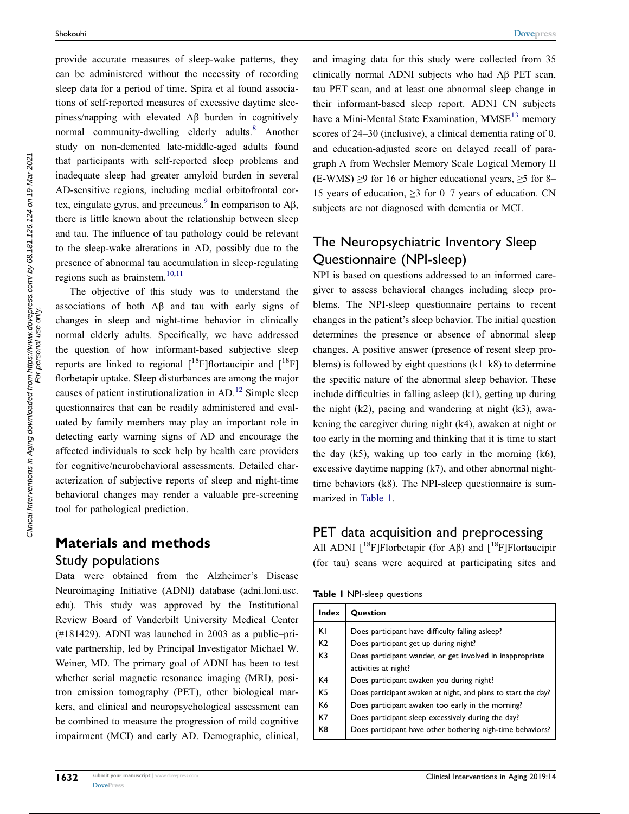<span id="page-1-1"></span>provide accurate measures of sleep-wake patterns, they can be administered without the necessity of recording sleep data for a period of time. Spira et al found associations of self-reported measures of excessive daytime sleepiness/napping with elevated Aβ burden in cognitively normal community-dwelling elderly adults.<sup>[8](#page-7-4)</sup> Another study on non-demented late-middle-aged adults found that participants with self-reported sleep problems and inadequate sleep had greater amyloid burden in several AD-sensitive regions, including medial orbitofrontal cortex, cingulate gyrus, and precuneus. $9 \text{ In comparison to } AB$  $9 \text{ In comparison to } AB$ , there is little known about the relationship between sleep and tau. The influence of tau pathology could be relevant to the sleep-wake alterations in AD, possibly due to the presence of abnormal tau accumulation in sleep-regulating regions such as brainstem.<sup>[10](#page-7-6)[,11](#page-7-7)</sup>

<span id="page-1-4"></span><span id="page-1-3"></span><span id="page-1-2"></span>The objective of this study was to understand the associations of both Aβ and tau with early signs of changes in sleep and night-time behavior in clinically normal elderly adults. Specifically, we have addressed the question of how informant-based subjective sleep reports are linked to regional  $\int^{18}$ F]flortaucipir and  $\int^{18}$ F] florbetapir uptake. Sleep disturbances are among the major causes of patient institutionalization in  $AD$ <sup>[12](#page-7-8)</sup> Simple sleep questionnaires that can be readily administered and evaluated by family members may play an important role in detecting early warning signs of AD and encourage the affected individuals to seek help by health care providers for cognitive/neurobehavioral assessments. Detailed characterization of subjective reports of sleep and night-time behavioral changes may render a valuable pre-screening tool for pathological prediction.

#### Materials and methods Study populations

Data were obtained from the Alzheimer's Disease Neuroimaging Initiative (ADNI) database (adni.loni.usc. edu). This study was approved by the Institutional Review Board of Vanderbilt University Medical Center (#181429). ADNI was launched in 2003 as a public–private partnership, led by Principal Investigator Michael W. Weiner, MD. The primary goal of ADNI has been to test whether serial magnetic resonance imaging (MRI), positron emission tomography (PET), other biological markers, and clinical and neuropsychological assessment can be combined to measure the progression of mild cognitive impairment (MCI) and early AD. Demographic, clinical,

<span id="page-1-5"></span>and imaging data for this study were collected from 35 clinically normal ADNI subjects who had Aβ PET scan, tau PET scan, and at least one abnormal sleep change in their informant-based sleep report. ADNI CN subjects have a Mini-Mental State Examination, MMSE<sup>[13](#page-7-9)</sup> memory scores of 24–30 (inclusive), a clinical dementia rating of 0, and education-adjusted score on delayed recall of paragraph A from Wechsler Memory Scale Logical Memory II  $(E-WMS) \ge 9$  for 16 or higher educational years,  $\ge 5$  for 8– 15 years of education,  $\geq$ 3 for 0–7 years of education. CN subjects are not diagnosed with dementia or MCI.

## The Neuropsychiatric Inventory Sleep Questionnaire (NPI-sleep)

NPI is based on questions addressed to an informed caregiver to assess behavioral changes including sleep problems. The NPI-sleep questionnaire pertains to recent changes in the patient's sleep behavior. The initial question determines the presence or absence of abnormal sleep changes. A positive answer (presence of resent sleep problems) is followed by eight questions (k1–k8) to determine the specific nature of the abnormal sleep behavior. These include difficulties in falling asleep (k1), getting up during the night (k2), pacing and wandering at night (k3), awakening the caregiver during night (k4), awaken at night or too early in the morning and thinking that it is time to start the day  $(k5)$ , waking up too early in the morning  $(k6)$ , excessive daytime napping (k7), and other abnormal nighttime behaviors (k8). The NPI-sleep questionnaire is summarized in [Table 1.](#page-1-0)

#### PET data acquisition and preprocessing

All ADNI  $[18F]F$ lorbetapir (for A $\beta$ ) and  $[18F]F$ lortaucipir (for tau) scans were acquired at participating sites and

<span id="page-1-0"></span>Table 1 NPI-sleep questions

| Index          | Ouestion                                                      |
|----------------|---------------------------------------------------------------|
| K1             | Does participant have difficulty falling asleep?              |
| K <sub>2</sub> | Does participant get up during night?                         |
| K3             | Does participant wander, or get involved in inappropriate     |
|                | activities at night?                                          |
| K4             | Does participant awaken you during night?                     |
| K <sub>5</sub> | Does participant awaken at night, and plans to start the day? |
| K6             | Does participant awaken too early in the morning?             |
| K7             | Does participant sleep excessively during the day?            |
| K8             | Does participant have other bothering nigh-time behaviors?    |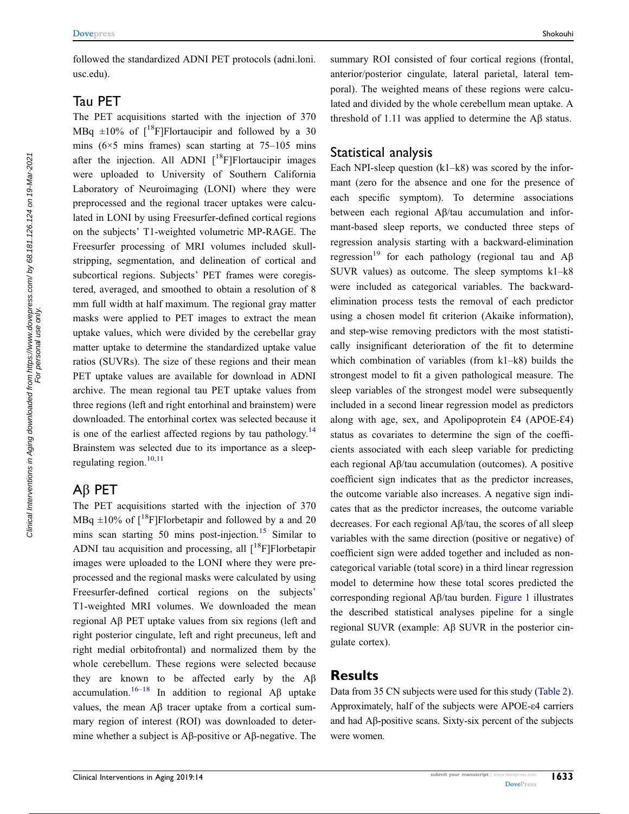followed the standardized ADNI PET protocols (adni.loni. usc.edu).

#### Tau PET

The PET acquisitions started with the injection of 370 MBq  $\pm 10\%$  of  $\int_0^{18}$ F]Flortaucipir and followed by a 30 mins ( $6 \times 5$  mins frames) scan starting at 75–105 mins after the injection. All ADNI  $[$ <sup>18</sup>F]Flortaucipir images were uploaded to University of Southern California Laboratory of Neuroimaging (LONI) where they were preprocessed and the regional tracer uptakes were calculated in LONI by using Freesurfer-defined cortical regions on the subjects' T1-weighted volumetric MP-RAGE. The Freesurfer processing of MRI volumes included skullstripping, segmentation, and delineation of cortical and subcortical regions. Subjects' PET frames were coregistered, averaged, and smoothed to obtain a resolution of 8 mm full width at half maximum. The regional gray matter masks were applied to PET images to extract the mean uptake values, which were divided by the cerebellar gray matter uptake to determine the standardized uptake value ratios (SUVRs). The size of these regions and their mean PET uptake values are available for download in ADNI archive. The mean regional tau PET uptake values from three regions (left and right entorhinal and brainstem) were downloaded. The entorhinal cortex was selected because it is one of the earliest affected regions by tau pathology.<sup>[14](#page-7-10)</sup> Brainstem was selected due to its importance as a sleepregulating region. $10,11$  $10,11$ 

#### <span id="page-2-0"></span>Aβ PET

<span id="page-2-2"></span><span id="page-2-1"></span>The PET acquisitions started with the injection of 370 MBq  $\pm 10\%$  of  $\int^18$ F]Florbetapir and followed by a and 20 mins scan starting 50 mins post-injection.<sup>[15](#page-7-11)</sup> Similar to ADNI tau acquisition and processing, all  $[18F]F$ lorbetapir images were uploaded to the LONI where they were preprocessed and the regional masks were calculated by using Freesurfer-defined cortical regions on the subjects' T1-weighted MRI volumes. We downloaded the mean regional Aβ PET uptake values from six regions (left and right posterior cingulate, left and right precuneus, left and right medial orbitofrontal) and normalized them by the whole cerebellum. These regions were selected because they are known to be affected early by the Aβ accumulation.<sup>[16](#page-7-12)–[18](#page-7-13)</sup> In addition to regional Aβ uptake values, the mean Aβ tracer uptake from a cortical summary region of interest (ROI) was downloaded to determine whether a subject is Aβ-positive or Aβ-negative. The

summary ROI consisted of four cortical regions (frontal, anterior/posterior cingulate, lateral parietal, lateral temporal). The weighted means of these regions were calculated and divided by the whole cerebellum mean uptake. A threshold of 1.11 was applied to determine the Aβ status.

#### Statistical analysis

<span id="page-2-3"></span>Each NPI-sleep question  $(k1-k8)$  was scored by the informant (zero for the absence and one for the presence of each specific symptom). To determine associations between each regional Aβ/tau accumulation and informant-based sleep reports, we conducted three steps of regression analysis starting with a backward-elimination regression<sup>[19](#page-7-14)</sup> for each pathology (regional tau and  $A\beta$ SUVR values) as outcome. The sleep symptoms k1–k8 were included as categorical variables. The backwardelimination process tests the removal of each predictor using a chosen model fit criterion (Akaike information), and step-wise removing predictors with the most statistically insignificant deterioration of the fit to determine which combination of variables (from k1–k8) builds the strongest model to fit a given pathological measure. The sleep variables of the strongest model were subsequently included in a second linear regression model as predictors along with age, sex, and Apolipoprotein  $E4$  (APOE- $E4$ ) status as covariates to determine the sign of the coefficients associated with each sleep variable for predicting each regional Aβ/tau accumulation (outcomes). A positive coefficient sign indicates that as the predictor increases, the outcome variable also increases. A negative sign indicates that as the predictor increases, the outcome variable decreases. For each regional Aβ/tau, the scores of all sleep variables with the same direction (positive or negative) of coefficient sign were added together and included as noncategorical variable (total score) in a third linear regression model to determine how these total scores predicted the corresponding regional Aβ/tau burden. [Figure 1](#page-3-0) illustrates the described statistical analyses pipeline for a single regional SUVR (example: Aβ SUVR in the posterior cingulate cortex).

#### Results

Data from 35 CN subjects were used for this study ([Table 2\)](#page-3-1). Approximately, half of the subjects were APOE-ε4 carriers and had Aβ-positive scans. Sixty-six percent of the subjects were women.

For personal use only.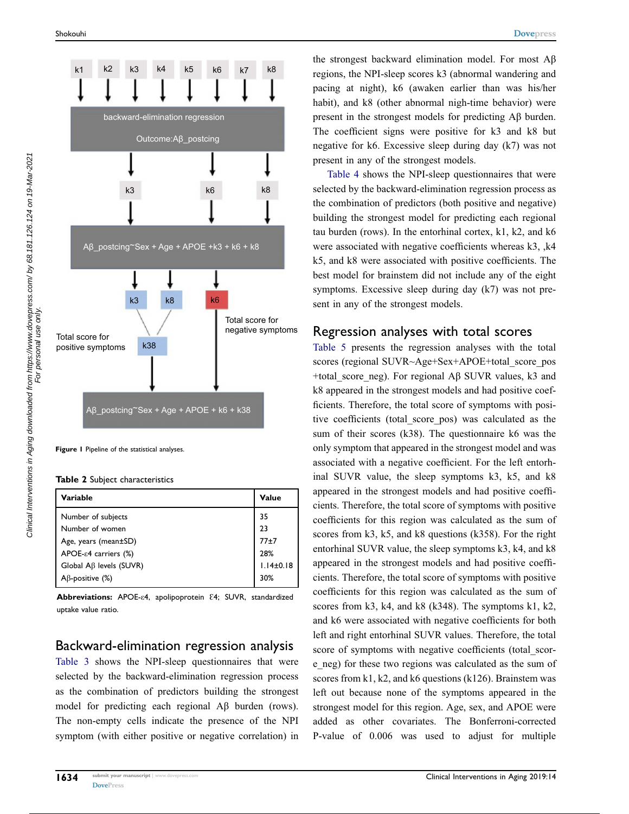<span id="page-3-0"></span>

Figure 1 Pipeline of the statistical analyses.

<span id="page-3-1"></span>

|  |  |  | Table 2 Subject characteristics |
|--|--|--|---------------------------------|
|--|--|--|---------------------------------|

| Variable                               | Value           |
|----------------------------------------|-----------------|
| Number of subjects                     | 35              |
| Number of women                        | 23              |
| Age, years (mean±SD)                   | 77±7            |
| APOE- $\varepsilon$ 4 carriers (%)     | 28%             |
| Global $\mathsf{A}\beta$ levels (SUVR) | $1.14 \pm 0.18$ |
| $\mathsf{AB}\text{-positive}$ (%)      | 30%             |

Abbreviations: APOE-ε4, apolipoprotein Ɛ4; SUVR, standardized uptake value ratio.

#### Backward-elimination regression analysis

[Table 3](#page-4-0) shows the NPI-sleep questionnaires that were selected by the backward-elimination regression process as the combination of predictors building the strongest model for predicting each regional Aβ burden (rows). The non-empty cells indicate the presence of the NPI symptom (with either positive or negative correlation) in

the strongest backward elimination model. For most Aβ regions, the NPI-sleep scores k3 (abnormal wandering and pacing at night), k6 (awaken earlier than was his/her habit), and k8 (other abnormal nigh-time behavior) were present in the strongest models for predicting Aβ burden. The coefficient signs were positive for k3 and k8 but negative for k6. Excessive sleep during day (k7) was not present in any of the strongest models.

[Table 4](#page-4-1) shows the NPI-sleep questionnaires that were selected by the backward-elimination regression process as the combination of predictors (both positive and negative) building the strongest model for predicting each regional tau burden (rows). In the entorhinal cortex, k1, k2, and k6 were associated with negative coefficients whereas k3, ,k4 k5, and k8 were associated with positive coefficients. The best model for brainstem did not include any of the eight symptoms. Excessive sleep during day (k7) was not present in any of the strongest models.

#### Regression analyses with total scores

[Table 5](#page-5-0) presents the regression analyses with the total scores (regional SUVR~Age+Sex+APOE+total\_score\_pos +total score neg). For regional Aβ SUVR values, k3 and k8 appeared in the strongest models and had positive coefficients. Therefore, the total score of symptoms with positive coefficients (total\_score\_pos) was calculated as the sum of their scores (k38). The questionnaire k6 was the only symptom that appeared in the strongest model and was associated with a negative coefficient. For the left entorhinal SUVR value, the sleep symptoms k3, k5, and k8 appeared in the strongest models and had positive coefficients. Therefore, the total score of symptoms with positive coefficients for this region was calculated as the sum of scores from k3, k5, and k8 questions (k358). For the right entorhinal SUVR value, the sleep symptoms k3, k4, and k8 appeared in the strongest models and had positive coefficients. Therefore, the total score of symptoms with positive coefficients for this region was calculated as the sum of scores from k3, k4, and k8 (k348). The symptoms k1, k2, and k6 were associated with negative coefficients for both left and right entorhinal SUVR values. Therefore, the total score of symptoms with negative coefficients (total\_score neg) for these two regions was calculated as the sum of scores from k1, k2, and k6 questions (k126). Brainstem was left out because none of the symptoms appeared in the strongest model for this region. Age, sex, and APOE were added as other covariates. The Bonferroni-corrected P-value of 0.006 was used to adjust for multiple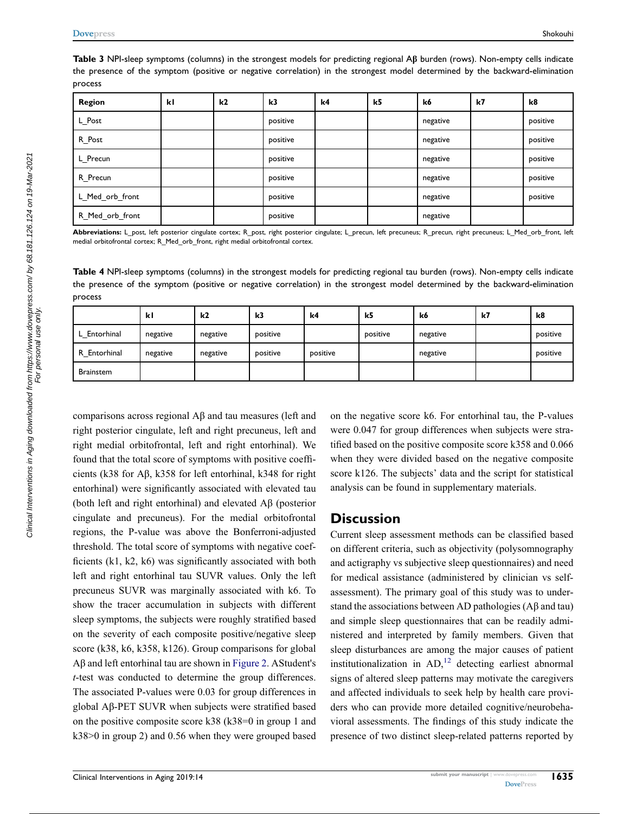<span id="page-4-0"></span>Table 3 NPI-sleep symptoms (columns) in the strongest models for predicting regional Aβ burden (rows). Non-empty cells indicate the presence of the symptom (positive or negative correlation) in the strongest model determined by the backward-elimination process

| Region          | kl | k <sub>2</sub> | k <sub>3</sub> | k4 | k5 | k6       | k7 | k8       |
|-----------------|----|----------------|----------------|----|----|----------|----|----------|
| L Post          |    |                | positive       |    |    | negative |    | positive |
| R Post          |    |                | positive       |    |    | negative |    | positive |
| L Precun        |    |                | positive       |    |    | negative |    | positive |
| R Precun        |    |                | positive       |    |    | negative |    | positive |
| L Med orb front |    |                | positive       |    |    | negative |    | positive |
| R_Med_orb_front |    |                | positive       |    |    | negative |    |          |

Abbreviations: L\_post, left posterior cingulate cortex; R\_post, right posterior cingulate; L\_precun, left precuneus; R\_precun, right precuneus; L\_Med\_orb\_front, left medial orbitofrontal cortex; R\_Med\_orb\_front, right medial orbitofrontal cortex.

<span id="page-4-1"></span>Table 4 NPI-sleep symptoms (columns) in the strongest models for predicting regional tau burden (rows). Non-empty cells indicate the presence of the symptom (positive or negative correlation) in the strongest model determined by the backward-elimination process

|                  | k l      | $\mathbf{k}$ | k3       | k4       | k5       | k6       | k7 | k8       |
|------------------|----------|--------------|----------|----------|----------|----------|----|----------|
| L Entorhinal     | negative | negative     | positive |          | positive | negative |    | positive |
| R Entorhinal     | negative | negative     | positive | positive |          | negative |    | positive |
| <b>Brainstem</b> |          |              |          |          |          |          |    |          |

comparisons across regional Aβ and tau measures (left and right posterior cingulate, left and right precuneus, left and right medial orbitofrontal, left and right entorhinal). We found that the total score of symptoms with positive coefficients (k38 for Aβ, k358 for left entorhinal, k348 for right entorhinal) were significantly associated with elevated tau (both left and right entorhinal) and elevated Aβ (posterior cingulate and precuneus). For the medial orbitofrontal regions, the P-value was above the Bonferroni-adjusted threshold. The total score of symptoms with negative coefficients (k1, k2, k6) was significantly associated with both left and right entorhinal tau SUVR values. Only the left precuneus SUVR was marginally associated with k6. To show the tracer accumulation in subjects with different sleep symptoms, the subjects were roughly stratified based on the severity of each composite positive/negative sleep score (k38, k6, k358, k126). Group comparisons for global Aβ and left entorhinal tau are shown in [Figure 2.](#page-5-1) AStudent's t-test was conducted to determine the group differences. The associated P-values were 0.03 for group differences in global Aβ-PET SUVR when subjects were stratified based on the positive composite score k38 (k38=0 in group 1 and k38>0 in group 2) and 0.56 when they were grouped based

on the negative score k6. For entorhinal tau, the P-values were 0.047 for group differences when subjects were stratified based on the positive composite score k358 and 0.066 when they were divided based on the negative composite score k126. The subjects' data and the script for statistical analysis can be found in supplementary materials.

#### **Discussion**

Current sleep assessment methods can be classified based on different criteria, such as objectivity (polysomnography and actigraphy vs subjective sleep questionnaires) and need for medical assistance (administered by clinician vs selfassessment). The primary goal of this study was to understand the associations between AD pathologies (Aβ and tau) and simple sleep questionnaires that can be readily administered and interpreted by family members. Given that sleep disturbances are among the major causes of patient institutionalization in  $AD<sub>12</sub><sup>12</sup>$  $AD<sub>12</sub><sup>12</sup>$  $AD<sub>12</sub><sup>12</sup>$  detecting earliest abnormal signs of altered sleep patterns may motivate the caregivers and affected individuals to seek help by health care providers who can provide more detailed cognitive/neurobehavioral assessments. The findings of this study indicate the presence of two distinct sleep-related patterns reported by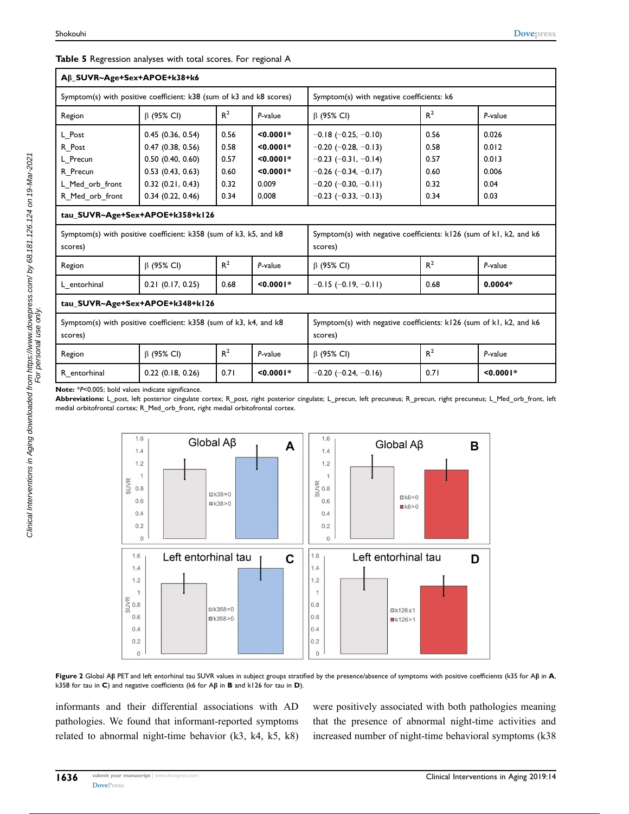<span id="page-5-0"></span>

| AB SUVR~Age+Sex+APOE+k38+k6                                                  |                       |       |             |                                                                               |       |           |
|------------------------------------------------------------------------------|-----------------------|-------|-------------|-------------------------------------------------------------------------------|-------|-----------|
| Symptom(s) with positive coefficient: k38 (sum of k3 and k8 scores)          |                       |       |             | Symptom(s) with negative coefficients: k6                                     |       |           |
| Region                                                                       | $\beta$ (95% CI)      | $R^2$ | P-value     | $\beta$ (95% CI)                                                              | $R^2$ | P-value   |
| L Post                                                                       | $0.45$ (0.36, 0.54)   | 0.56  | $<0.0001*$  | $-0.18$ (-0.25, -0.10)                                                        | 0.56  | 0.026     |
| R Post                                                                       | 0.47(0.38, 0.56)      | 0.58  | $< 0.0001*$ | $-0.20$ ( $-0.28$ , $-0.13$ )                                                 | 0.58  | 0.012     |
| L Precun                                                                     | $0.50$ (0.40, 0.60)   | 0.57  | $0.0001*$   | $-0.23$ (-0.31, -0.14)                                                        | 0.57  | 0.013     |
| R Precun                                                                     | $0.53$ $(0.43, 0.63)$ | 0.60  | $<0.0001*$  | $-0.26$ ( $-0.34$ , $-0.17$ )                                                 | 0.60  | 0.006     |
| L Med orb front                                                              | $0.32$ (0.21, 0.43)   | 0.32  | 0.009       | $-0.20$ (-0.30, -0.11)                                                        | 0.32  | 0.04      |
| R Med orb front                                                              | $0.34$ (0.22, 0.46)   | 0.34  | 0.008       | $-0.23$ ( $-0.33$ , $-0.13$ )                                                 | 0.34  | 0.03      |
| tau SUVR~Age+Sex+APOE+k358+k126                                              |                       |       |             |                                                                               |       |           |
|                                                                              |                       |       |             |                                                                               |       |           |
| Symptom(s) with positive coefficient: k358 (sum of k3, k5, and k8<br>scores) |                       |       |             | Symptom(s) with negative coefficients: k126 (sum of k1, k2, and k6<br>scores) |       |           |
| Region                                                                       | $\beta$ (95% CI)      | $R^2$ | P-value     | $\beta$ (95% CI)                                                              | $R^2$ | P-value   |
| L entorhinal                                                                 | $0.21$ (0.17, 0.25)   | 0.68  | $<0.0001*$  | $-0.15$ (-0.19, -0.11)                                                        | 0.68  | $0.0004*$ |
| tau_SUVR~Age+Sex+APOE+k348+k126                                              |                       |       |             |                                                                               |       |           |
| Symptom(s) with positive coefficient: k358 (sum of k3, k4, and k8<br>scores) |                       |       |             | Symptom(s) with negative coefficients: k126 (sum of k1, k2, and k6<br>scores) |       |           |
| Region                                                                       | $\beta$ (95% CI)      | $R^2$ | P-value     | $\beta$ (95% CI)                                                              | $R^2$ | P-value   |

Note: \*P<0.005; bold values indicate significance.

<span id="page-5-1"></span>Abbreviations: L\_post, left posterior cingulate cortex; R\_post, right posterior cingulate; L\_precun, left precuneus; R\_precun, right precuneus; L\_Med\_orb\_front, left medial orbitofrontal cortex; R\_Med\_orb\_front, right medial orbitofrontal cortex.



Figure 2 Global Aβ PET and left entorhinal tau SUVR values in subject groups stratified by the presence/absence of symptoms with positive coefficients (k35 for Aβ in A, k358 for tau in C) and negative coefficients (k6 for Aβ in B and k126 for tau in D).

informants and their differential associations with AD pathologies. We found that informant-reported symptoms related to abnormal night-time behavior (k3, k4, k5, k8) were positively associated with both pathologies meaning that the presence of abnormal night-time activities and increased number of night-time behavioral symptoms (k38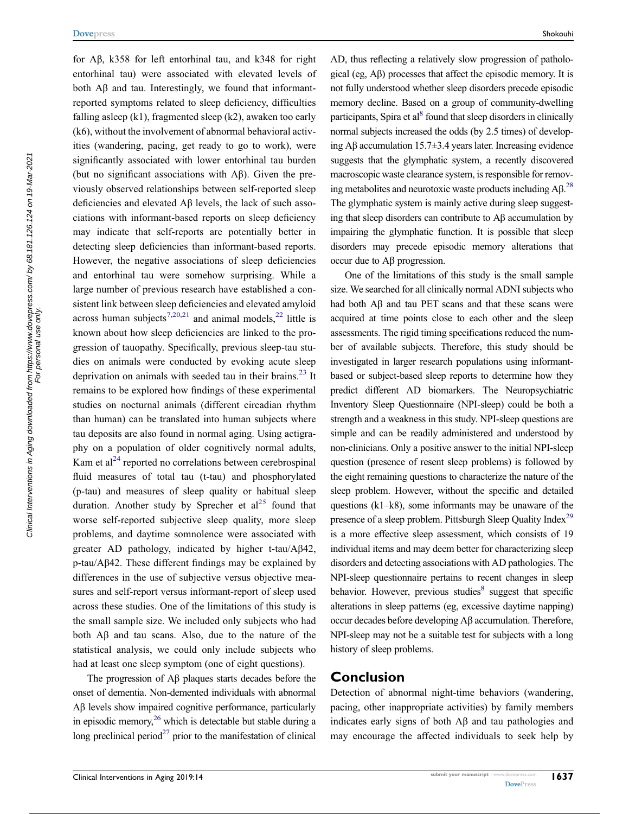<span id="page-6-0"></span>for Aβ, k358 for left entorhinal tau, and k348 for right entorhinal tau) were associated with elevated levels of both Aβ and tau. Interestingly, we found that informantreported symptoms related to sleep deficiency, difficulties falling asleep (k1), fragmented sleep (k2), awaken too early (k6), without the involvement of abnormal behavioral activities (wandering, pacing, get ready to go to work), were significantly associated with lower entorhinal tau burden (but no significant associations with Aβ). Given the previously observed relationships between self-reported sleep deficiencies and elevated Aβ levels, the lack of such associations with informant-based reports on sleep deficiency may indicate that self-reports are potentially better in detecting sleep deficiencies than informant-based reports. However, the negative associations of sleep deficiencies and entorhinal tau were somehow surprising. While a large number of previous research have established a consistent link between sleep deficiencies and elevated amyloid across human subjects<sup>[7](#page-7-3),[20](#page-8-0)[,21](#page-8-1)</sup> and animal models,<sup>22</sup> little is known about how sleep deficiencies are linked to the progression of tauopathy. Specifically, previous sleep-tau studies on animals were conducted by evoking acute sleep deprivation on animals with seeded tau in their brains.<sup>[23](#page-8-3)</sup> It remains to be explored how findings of these experimental studies on nocturnal animals (different circadian rhythm than human) can be translated into human subjects where tau deposits are also found in normal aging. Using actigraphy on a population of older cognitively normal adults, Kam et al<sup>[24](#page-8-4)</sup> reported no correlations between cerebrospinal fluid measures of total tau (t-tau) and phosphorylated (p-tau) and measures of sleep quality or habitual sleep duration. Another study by Sprecher et  $al^{25}$  $al^{25}$  $al^{25}$  found that worse self-reported subjective sleep quality, more sleep problems, and daytime somnolence were associated with greater AD pathology, indicated by higher t-tau/Aβ42, p-tau/Aβ42. These different findings may be explained by differences in the use of subjective versus objective measures and self-report versus informant-report of sleep used across these studies. One of the limitations of this study is the small sample size. We included only subjects who had both Aβ and tau scans. Also, due to the nature of the statistical analysis, we could only include subjects who had at least one sleep symptom (one of eight questions).

<span id="page-6-5"></span><span id="page-6-4"></span><span id="page-6-3"></span><span id="page-6-2"></span>The progression of Aβ plaques starts decades before the onset of dementia. Non-demented individuals with abnormal Aβ levels show impaired cognitive performance, particularly in episodic memory,  $26$  which is detectable but stable during a long preclinical period<sup>27</sup> prior to the manifestation of clinical

AD, thus reflecting a relatively slow progression of pathological (eg, Aβ) processes that affect the episodic memory. It is not fully understood whether sleep disorders precede episodic memory decline. Based on a group of community-dwelling participants, Spira et al<sup>8</sup> found that sleep disorders in clinically normal subjects increased the odds (by 2.5 times) of developing Aβ accumulation 15.7±3.4 years later. Increasing evidence suggests that the glymphatic system, a recently discovered macroscopic waste clearance system, is responsible for removing metabolites and neurotoxic waste products including  $\text{A}\beta$ .<sup>[28](#page-8-8)</sup> The glymphatic system is mainly active during sleep suggesting that sleep disorders can contribute to Aβ accumulation by impairing the glymphatic function. It is possible that sleep disorders may precede episodic memory alterations that occur due to Aβ progression.

<span id="page-6-6"></span><span id="page-6-1"></span>One of the limitations of this study is the small sample size. We searched for all clinically normal ADNI subjects who had both Aβ and tau PET scans and that these scans were acquired at time points close to each other and the sleep assessments. The rigid timing specifications reduced the number of available subjects. Therefore, this study should be investigated in larger research populations using informantbased or subject-based sleep reports to determine how they predict different AD biomarkers. The Neuropsychiatric Inventory Sleep Questionnaire (NPI-sleep) could be both a strength and a weakness in this study. NPI-sleep questions are simple and can be readily administered and understood by non-clinicians. Only a positive answer to the initial NPI-sleep question (presence of resent sleep problems) is followed by the eight remaining questions to characterize the nature of the sleep problem. However, without the specific and detailed questions (k1–k8), some informants may be unaware of the presence of a sleep problem. Pittsburgh Sleep Quality Index<sup>29</sup> is a more effective sleep assessment, which consists of 19 individual items and may deem better for characterizing sleep disorders and detecting associations with AD pathologies. The NPI-sleep questionnaire pertains to recent changes in sleep behavior. However, previous studies<sup>8</sup> suggest that specific alterations in sleep patterns (eg, excessive daytime napping) occur decades before developing Aβ accumulation. Therefore, NPI-sleep may not be a suitable test for subjects with a long history of sleep problems.

#### <span id="page-6-7"></span>Conclusion

Detection of abnormal night-time behaviors (wandering, pacing, other inappropriate activities) by family members indicates early signs of both Aβ and tau pathologies and may encourage the affected individuals to seek help by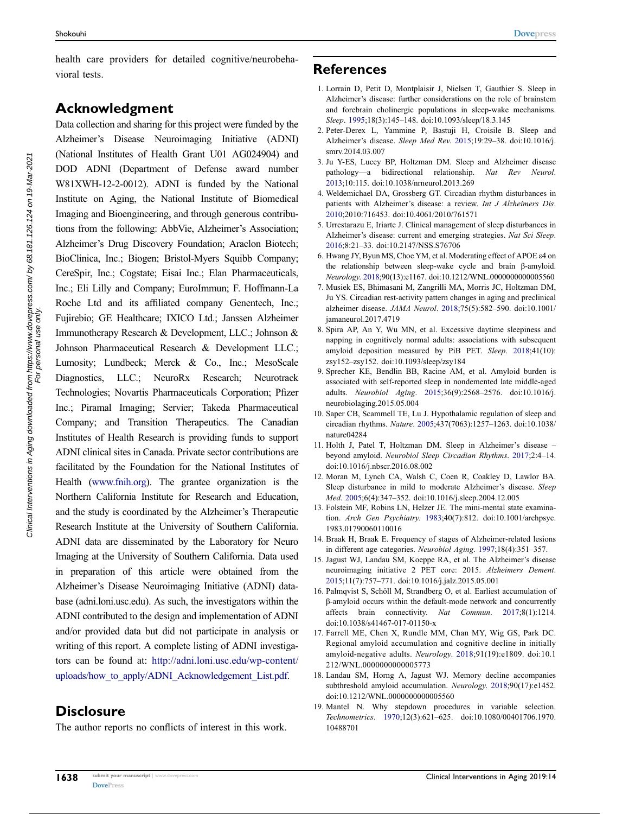health care providers for detailed cognitive/neurobehavioral tests.

### Acknowledgment

Data collection and sharing for this project were funded by the Alzheimer's Disease Neuroimaging Initiative (ADNI) (National Institutes of Health Grant U01 AG024904) and DOD ADNI (Department of Defense award number W81XWH-12-2-0012). ADNI is funded by the National Institute on Aging, the National Institute of Biomedical Imaging and Bioengineering, and through generous contributions from the following: AbbVie, Alzheimer's Association; Alzheimer's Drug Discovery Foundation; Araclon Biotech; BioClinica, Inc.; Biogen; Bristol-Myers Squibb Company; CereSpir, Inc.; Cogstate; Eisai Inc.; Elan Pharmaceuticals, Inc.; Eli Lilly and Company; EuroImmun; F. Hoffmann-La Roche Ltd and its affiliated company Genentech, Inc.; Fujirebio; GE Healthcare; IXICO Ltd.; Janssen Alzheimer Immunotherapy Research & Development, LLC.; Johnson & Johnson Pharmaceutical Research & Development LLC.; Lumosity; Lundbeck; Merck & Co., Inc.; MesoScale Diagnostics, LLC.; NeuroRx Research; Neurotrack Technologies; Novartis Pharmaceuticals Corporation; Pfizer Inc.; Piramal Imaging; Servier; Takeda Pharmaceutical Company; and Transition Therapeutics. The Canadian Institutes of Health Research is providing funds to support ADNI clinical sites in Canada. Private sector contributions are facilitated by the Foundation for the National Institutes of Health [\(www.fnih.org](http://www.fnih.org)). The grantee organization is the Northern California Institute for Research and Education, and the study is coordinated by the Alzheimer's Therapeutic Research Institute at the University of Southern California. ADNI data are disseminated by the Laboratory for Neuro Imaging at the University of Southern California. Data used in preparation of this article were obtained from the Alzheimer's Disease Neuroimaging Initiative (ADNI) database (adni.loni.usc.edu). As such, the investigators within the ADNI contributed to the design and implementation of ADNI and/or provided data but did not participate in analysis or writing of this report. A complete listing of ADNI investigators can be found at: [http://adni.loni.usc.edu/wp-content/](http://adni.loni.usc.edu/wp-content/uploads/how_to_apply/ADNI_Acknowledgement_List.pdf) [uploads/how\\_to\\_apply/ADNI\\_Acknowledgement\\_List.pdf.](http://adni.loni.usc.edu/wp-content/uploads/how_to_apply/ADNI_Acknowledgement_List.pdf)

#### **Disclosure**

The author reports no conflicts of interest in this work.

#### **References**

- <span id="page-7-0"></span>1. Lorrain D, Petit D, Montplaisir J, Nielsen T, Gauthier S. Sleep in Alzheimer's disease: further considerations on the role of brainstem and forebrain cholinergic populations in sleep-wake mechanisms. Sleep. [1995](#page-0-0);18(3):145–148. doi:[10.1093/sleep/18.3.145](https://doi.org/10.1093/sleep/18.3.145)
- 2. Peter-Derex L, Yammine P, Bastuji H, Croisile B. Sleep and Alzheimer's disease. Sleep Med Rev. 2015;19:29–38. doi:[10.1016/j.](https://doi.org/10.1016/j.smrv.2014.03.007) [smrv.2014.03.007](https://doi.org/10.1016/j.smrv.2014.03.007)
- 3. Ju Y-ES, Lucey BP, Holtzman DM. Sleep and Alzheimer disease pathology—a bidirectional relationship. Nat Rev Neurol. 2013;10:115. doi:[10.1038/nrneurol.2013.269](https://doi.org/10.1038/nrneurol.2013.269)
- 4. Weldemichael DA, Grossberg GT. Circadian rhythm disturbances in patients with Alzheimer's disease: a review. Int J Alzheimers Dis. 2010;2010:716453. doi:[10.4061/2010/761571](https://doi.org/10.4061/2010/761571)
- <span id="page-7-1"></span>5. Urrestarazu E, Iriarte J. Clinical management of sleep disturbances in Alzheimer's disease: current and emerging strategies. Nat Sci Sleep. [2016](#page-0-0);8:21–33. doi:[10.2147/NSS.S76706](https://doi.org/10.2147/NSS.S76706)
- <span id="page-7-2"></span>6. Hwang JY, Byun MS, Choe YM, et al. Moderating effect of APOE ε4 on the relationship between sleep-wake cycle and brain β-amyloid. Neurology. [2018](#page-0-1);90(13):e1167. doi:[10.1212/WNL.0000000000005560](https://doi.org/10.1212/WNL.0000000000005560)
- <span id="page-7-3"></span>7. Musiek ES, Bhimasani M, Zangrilli MA, Morris JC, Holtzman DM, Ju YS. Circadian rest-activity pattern changes in aging and preclinical alzheimer disease. JAMA Neurol. [2018](#page-0-1);75(5):582–590. doi:[10.1001/](https://doi.org/10.1001/jamaneurol.2017.4719) [jamaneurol.2017.4719](https://doi.org/10.1001/jamaneurol.2017.4719)
- <span id="page-7-4"></span>8. Spira AP, An Y, Wu MN, et al. Excessive daytime sleepiness and napping in cognitively normal adults: associations with subsequent amyloid deposition measured by PiB PET. Sleep. [2018;](#page-1-1)41(10): zsy152–zsy152. doi:[10.1093/sleep/zsy184](https://doi.org/10.1093/sleep/zsy184)
- <span id="page-7-5"></span>9. Sprecher KE, Bendlin BB, Racine AM, et al. Amyloid burden is associated with self-reported sleep in nondemented late middle-aged adults. Neurobiol Aging. [2015;](#page-1-2)36(9):2568–2576. doi:[10.1016/j.](https://doi.org/10.1016/j.neurobiolaging.2015.05.004) [neurobiolaging.2015.05.004](https://doi.org/10.1016/j.neurobiolaging.2015.05.004)
- <span id="page-7-6"></span>10. Saper CB, Scammell TE, Lu J. Hypothalamic regulation of sleep and circadian rhythms. Nature. [2005](#page-1-3);437(7063):1257–1263. doi:[10.1038/](https://doi.org/10.1038/nature04284) [nature04284](https://doi.org/10.1038/nature04284)
- <span id="page-7-7"></span>11. Holth J, Patel T, Holtzman DM. Sleep in Alzheimer's disease – beyond amyloid. Neurobiol Sleep Circadian Rhythms. [2017;](#page-1-3)2:4–14. doi:[10.1016/j.nbscr.2016.08.002](https://doi.org/10.1016/j.nbscr.2016.08.002)
- <span id="page-7-8"></span>12. Moran M, Lynch CA, Walsh C, Coen R, Coakley D, Lawlor BA. Sleep disturbance in mild to moderate Alzheimer's disease. Sleep Med. [2005](#page-1-4);6(4):347–352. doi:[10.1016/j.sleep.2004.12.005](https://doi.org/10.1016/j.sleep.2004.12.005)
- <span id="page-7-9"></span>13. Folstein MF, Robins LN, Helzer JE. The mini-mental state examination. Arch Gen Psychiatry. [1983](#page-1-5);40(7):812. doi:[10.1001/archpsyc.](https://doi.org/10.1001/archpsyc.1983.01790060110016) [1983.01790060110016](https://doi.org/10.1001/archpsyc.1983.01790060110016)
- <span id="page-7-10"></span>14. Braak H, Braak E. Frequency of stages of Alzheimer-related lesions in different age categories. Neurobiol Aging. [1997;](#page-2-0)18(4):351–357.
- <span id="page-7-11"></span>15. Jagust WJ, Landau SM, Koeppe RA, et al. The Alzheimer's disease neuroimaging initiative 2 PET core: 2015. Alzheimers Dement. [2015](#page-2-1);11(7):757–771. doi:[10.1016/j.jalz.2015.05.001](https://doi.org/10.1016/j.jalz.2015.05.001)
- <span id="page-7-12"></span>16. Palmqvist S, Schöll M, Strandberg O, et al. Earliest accumulation of β-amyloid occurs within the default-mode network and concurrently affects brain connectivity. Nat Commun. [2017;](#page-2-2)8(1):1214. doi:[10.1038/s41467-017-01150-x](https://doi.org/10.1038/s41467-017-01150-x)
- 17. Farrell ME, Chen X, Rundle MM, Chan MY, Wig GS, Park DC. Regional amyloid accumulation and cognitive decline in initially amyloid-negative adults. Neurology. 2018;91(19):e1809. doi:[10.1](https://doi.org/10.1212/WNL.0000000000005773) [212/WNL.0000000000005773](https://doi.org/10.1212/WNL.0000000000005773)
- <span id="page-7-13"></span>18. Landau SM, Horng A, Jagust WJ. Memory decline accompanies subthreshold amyloid accumulation. Neurology. [2018](#page-2-2);90(17):e1452. doi:[10.1212/WNL.0000000000005560](https://doi.org/10.1212/WNL.0000000000005560)
- <span id="page-7-14"></span>19. Mantel N. Why stepdown procedures in variable selection. Technometrics. [1970](#page-2-3);12(3):621–625. doi:[10.1080/00401706.1970.](https://doi.org/10.1080/00401706.1970.10488701) [10488701](https://doi.org/10.1080/00401706.1970.10488701)

For personal use only.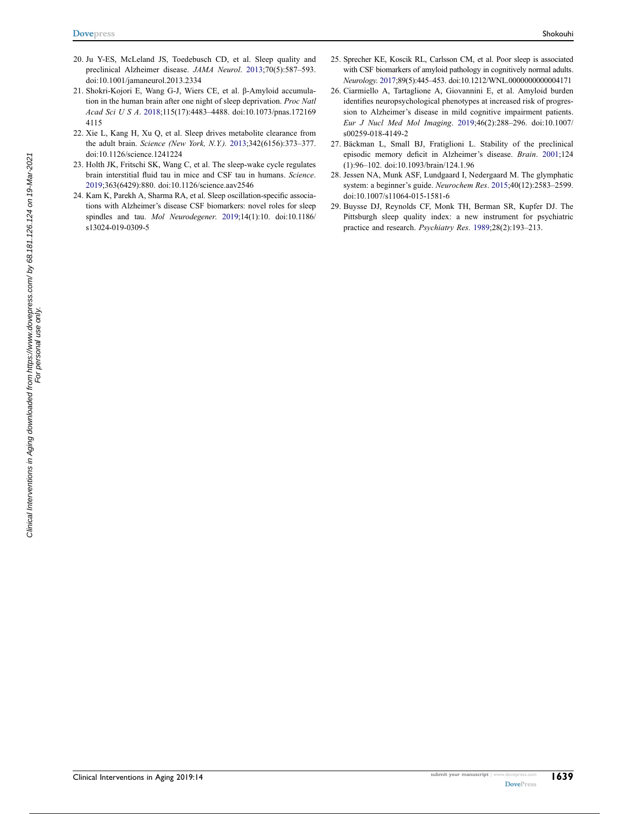- <span id="page-8-0"></span>20. Ju Y-ES, McLeland JS, Toedebusch CD, et al. Sleep quality and preclinical Alzheimer disease. JAMA Neurol. [2013;](#page-6-0)70(5):587–593. doi:[10.1001/jamaneurol.2013.2334](https://doi.org/10.1001/jamaneurol.2013.2334)
- <span id="page-8-1"></span>21. Shokri-Kojori E, Wang G-J, Wiers CE, et al. β-Amyloid accumulation in the human brain after one night of sleep deprivation. Proc Natl Acad Sci U S A. [2018](#page-6-0);115(17):4483–4488. doi:[10.1073/pnas.172169](https://doi.org/10.1073/pnas.1721694115) [4115](https://doi.org/10.1073/pnas.1721694115)
- <span id="page-8-2"></span>22. Xie L, Kang H, Xu Q, et al. Sleep drives metabolite clearance from the adult brain. Science (New York, N.Y.). [2013;](#page-6-0)342(6156):373–377. doi:[10.1126/science.1241224](https://doi.org/10.1126/science.1241224)
- <span id="page-8-3"></span>23. Holth JK, Fritschi SK, Wang C, et al. The sleep-wake cycle regulates brain interstitial fluid tau in mice and CSF tau in humans. Science. [2019;](#page-6-1)363(6429):880. doi:[10.1126/science.aav2546](https://doi.org/10.1126/science.aav2546)
- <span id="page-8-4"></span>24. Kam K, Parekh A, Sharma RA, et al. Sleep oscillation-specific associations with Alzheimer's disease CSF biomarkers: novel roles for sleep spindles and tau. Mol Neurodegener. [2019](#page-6-2);14(1):10. doi:[10.1186/](https://doi.org/10.1186/s13024-019-0309-5) [s13024-019-0309-5](https://doi.org/10.1186/s13024-019-0309-5)
- <span id="page-8-5"></span>25. Sprecher KE, Koscik RL, Carlsson CM, et al. Poor sleep is associated with CSF biomarkers of amyloid pathology in cognitively normal adults. Neurology. [2017](#page-6-3);89(5):445–453. doi:[10.1212/WNL.0000000000004171](https://doi.org/10.1212/WNL.0000000000004171)
- <span id="page-8-6"></span>26. Ciarmiello A, Tartaglione A, Giovannini E, et al. Amyloid burden identifies neuropsychological phenotypes at increased risk of progression to Alzheimer's disease in mild cognitive impairment patients. Eur J Nucl Med Mol Imaging. [2019;](#page-6-4)46(2):288–296. doi:[10.1007/](https://doi.org/10.1007/s00259-018-4149-2) [s00259-018-4149-2](https://doi.org/10.1007/s00259-018-4149-2)
- <span id="page-8-7"></span>27. Bäckman L, Small BJ, Fratiglioni L. Stability of the preclinical episodic memory deficit in Alzheimer's disease. Brain. [2001](#page-6-5);124 (1):96–102. doi:[10.1093/brain/124.1.96](https://doi.org/10.1093/brain/124.1.96)
- <span id="page-8-8"></span>28. Jessen NA, Munk ASF, Lundgaard I, Nedergaard M. The glymphatic system: a beginner's guide. Neurochem Res. [2015;](#page-6-6)40(12):2583–2599. doi:[10.1007/s11064-015-1581-6](https://doi.org/10.1007/s11064-015-1581-6)
- <span id="page-8-9"></span>29. Buysse DJ, Reynolds CF, Monk TH, Berman SR, Kupfer DJ. The Pittsburgh sleep quality index: a new instrument for psychiatric practice and research. Psychiatry Res. [1989;](#page-6-7)28(2):193–213.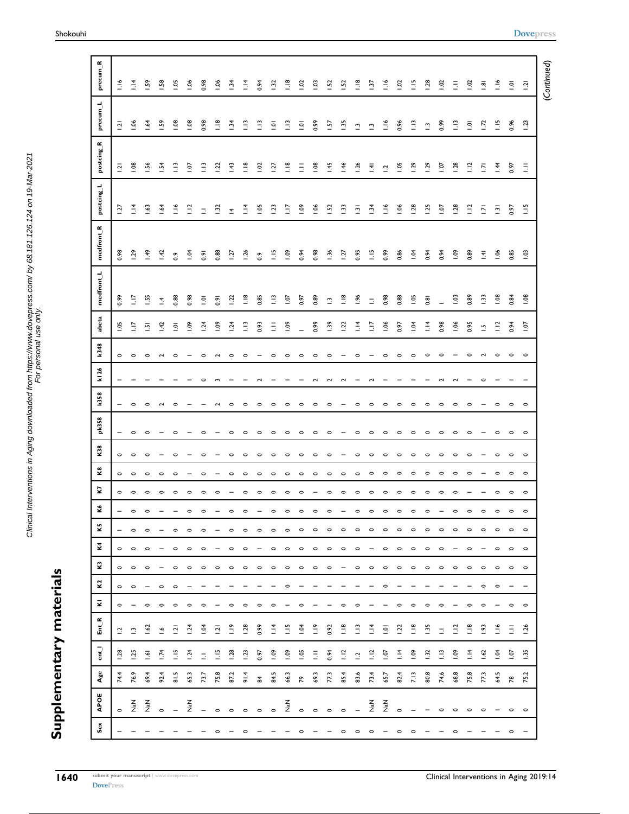# Supplementary materials Supplementary materials

| precum_R                            |                          |                |                 |                  |                |                                         |                |                 |                  |                 |                          |                  |                          |                          |                                 |                             |                  |                          |                                |                |                          |                          |                          |                          |                          |                |                         |                          |                |                          |
|-------------------------------------|--------------------------|----------------|-----------------|------------------|----------------|-----------------------------------------|----------------|-----------------|------------------|-----------------|--------------------------|------------------|--------------------------|--------------------------|---------------------------------|-----------------------------|------------------|--------------------------|--------------------------------|----------------|--------------------------|--------------------------|--------------------------|--------------------------|--------------------------|----------------|-------------------------|--------------------------|----------------|--------------------------|
|                                     | $\tilde{=}$              | $\frac{4}{11}$ | $\overline{59}$ | 1.58             | $\frac{5}{2}$  | 1.06                                    | 0.98           | 1.06            | $\frac{34}{2}$   | $\frac{4}{11}$  | 0.94                     | $\overline{132}$ | $\frac{8}{1}$            | 1.02                     | 1.03                            | 1.52                        | 1.52             | $\frac{8}{11}$           | $\overline{37}$                | 1.16           | 1.02                     | $\frac{15}{11}$          | 1.28                     | $\overline{5}$           | Ξ                        | 1.02           | $\frac{1}{2}$           | $\stackrel{\circ}{=}$    | $\overline{6}$ | $\overline{121}$         |
| precum_L                            | $\overline{2}$           | 1.06           | 1.64            | 1.59             | 1,08           | $\frac{8}{100}$                         | 0.98           | $\frac{8}{1}$   | $\frac{34}{2}$   | $\Xi$           | $\frac{1}{2}$            | $\overline{6}$   | $\frac{1}{2}$            | $\overline{6}$           | 0.99                            | 1.57                        | 1.35             | $\tilde{c}$              | $\mathbin{\relax{\texttt{-}}}$ | 1.16           | 0.96                     | $\frac{1}{2}$            | $\tilde{\omega}$         | 0.99                     | $\frac{1}{2}$            | $\overline{6}$ | $\overline{17}$         | $\Xi$                    | 0.96           | 123                      |
| $\mathsf{postcing}\_\mathsf{R}$     | $\overline{2}$           | 1.08           | 1.56            | 1.54             | $\Xi$          | 1.07                                    | $\tilde{=}$    | $\overline{2}$  | 1.43             | $\frac{8}{1}$   | $\overline{5}$           | $\overline{127}$ | $\frac{8}{1}$            | Ξ                        | 1.08                            | 1.45                        | 1.46             | 126                      | $\overline{4}$                 | $\overline{a}$ | 1.05                     | 129                      | 129                      | 107                      | 128                      | $\Xi$          | $\overline{\mathbb{Z}}$ | 1.44                     | 0.97           | $\Xi$                    |
| postcing_L                          | $\overline{127}$         | $\tilde{=}$    | 1.63            | 1.64             | $\frac{8}{11}$ | $\frac{12}{11}$                         | $\equiv$       | $\overline{32}$ | ᅕ                | $\frac{4}{11}$  | 105                      | $\overline{23}$  | E                        | $\overline{6}$           | 1.06                            | 1.52                        | $\ddot{3}$       | $\overline{2}$           | $\frac{34}{2}$                 | 1.16           | 1.06                     | 1.28                     | 125                      | 107                      | 1.28                     | 1.12           | $\overline{5}$          | $\overline{2}$           | 0.97           | $\frac{1}{2}$            |
| medfront_R                          | 0.98                     | 129            | 49              | $\overline{142}$ | $\ddot{\circ}$ | 104                                     | $\overline{5}$ | 0.88            | $\overline{127}$ | 1.26            | $\ddot{\circ}$           | 1.15             | 0.09                     | 0.94                     | 0.98                            | 1.36                        | $\overline{127}$ | 0.95                     | $\frac{15}{2}$                 | 0.99           | 0.86                     | 1.04                     | 0.94                     | 0.94                     | $^{60}$                  | 0.89           | $\overline{4}$          | 1.06                     | 0.85           | $\overline{0}$           |
| medfront_L                          | 0.99                     | $\Xi$          | 1.55            | $\overline{4}$   | 0.88           | 0.98                                    | $\overline{9}$ | 0.91            | 1.22             | 1.18            | 0.85                     | $\Xi$            | 1.07                     | 0.97                     | 0.89                            | $\mathbf{\underline{\Box}}$ | $\frac{8}{1}$    | 1.96                     | $\bar{\Xi}$                    | 0.98           | 0.88                     | 1.05                     | 0.81                     |                          | $\overline{0}$           | 0.89           | 133                     | 1,08                     | 0.84           | $\overline{0}$           |
| abeta                               | 1.05                     | $\Xi$          | $\overline{5}$  | 1.42             | $\overline{9}$ | $^{00}$                                 | 1.24           | $\frac{8}{2}$   | 1.24             | $\frac{1}{2}$   | 0.93                     | $\Xi$            | 0.09                     |                          | 0.99                            | 1.39                        | 1.22             | $\equiv$                 | $\Xi$                          | 1.06           | 0.97                     | 1.04                     | $\frac{4}{1}$            | 0.98                     | 1.06                     | 0.95           | $\overline{a}$          | $\frac{12}{11}$          | 0.94           | 1.07                     |
| 1348                                | $\circ$                  | $\circ$        | $\circ$         | $\sim$           | $\circ$        |                                         | $\circ$        | $\sim$          | $\circ$          | $\circ$         |                          | $\circ$          | $\circ$                  | $\circ$                  | $\circ$                         | $\circ$                     |                  | $\circ$                  |                                | $\circ$        | $\circ$                  | $\circ$                  | $\circ$                  | $\circ$                  |                          | 0              | $\sim$                  | $\circ$                  | $\circ$        | $\circ$                  |
| kl26                                |                          |                |                 |                  |                |                                         | c              |                 |                  |                 |                          |                  |                          |                          |                                 | $\sim$                      |                  |                          |                                |                |                          |                          |                          |                          |                          |                | $\circ$                 |                          |                |                          |
| k358                                |                          | $\circ$        | $\circ$         |                  | $\circ$        |                                         |                |                 | $\circ$          | $\circ$         | $\circ$                  | $\circ$          | $\circ$                  | $\circ$                  | $\circ$                         | $\circ$                     |                  | $\circ$                  | $\circ$                        | $\circ$        | $\circ$                  | $\circ$                  | $\circ$                  | $\circ$                  | $\circ$                  | 0              |                         | $\circ$                  | $\circ$        | $\circ$                  |
| pk358                               | $\overline{\phantom{0}}$ | $\circ$        | $\circ$         |                  | $\circ$        |                                         | $\circ$        |                 | $\circ$          | $\circ$         | $\circ$                  | $\circ$          | $\circ$                  | $\circ$                  | $\circ$                         | $\circ$                     |                  | $\circ$                  | $\circ$                        | $\circ$        | $\circ$                  | $\circ$                  | $\circ$                  | $\circ$                  | $\circ$                  | $\circ$        |                         | $\circ$                  | $\circ$        | $\circ$                  |
| K38                                 | $\circ$                  | $\circ$        | $\circ$         |                  | $\circ$        |                                         | c              |                 | $\circ$          | $\circ$         | C                        | $\circ$          | $\circ$                  | $\circ$                  | $\circ$                         | $\circ$                     |                  | $\circ$                  | $\circ$                        | $\circ$        | $\circ$                  | $\circ$                  | $\circ$                  | $\circ$                  | $\circ$                  | 0              |                         | $\circ$                  | $\circ$        | $\circ$                  |
| $\boldsymbol{\mathsf{z}}$           | $\circ$                  | $\circ$        | $\circ$         | $\circ$          | $\circ$        |                                         | C              |                 | $\circ$          | $\circ$         | $\circ$                  | $\circ$          | $\circ$                  | $\circ$                  | $\circ$                         | $\circ$                     | $\circ$          | $\circ$                  | $\circ$                        | $\circ$        | $\circ$                  | $\circ$                  | $\circ$                  | $\circ$                  | $\circ$                  | $\circ$        |                         | $\circ$                  | $\circ$        | $\circ$                  |
| ē                                   | $\circ$                  | $\circ$        | $\circ$         | $\circ$          | $\circ$        | $\circ$                                 | $\circ$        | 0               |                  | $\circ$         | $\circ$                  | $\circ$          | $\circ$                  | $\circ$                  |                                 | $\circ$                     | $\circ$          | $\circ$                  | $\circ$                        | $\circ$        | $\circ$                  | $\circ$                  | $\circ$                  | $\circ$                  | $\circ$                  |                |                         | $\circ$                  | $\circ$        | $\circ$                  |
| ٧ó                                  |                          | $\circ$        | $\circ$         |                  |                | $\circ$                                 | $\circ$        |                 | $\circ$          | $\circ$         |                          | $\circ$          | $\circ$                  | $\circ$                  | $\circ$                         | $\circ$                     |                  | O                        | $\circ$                        | $\circ$        | $\circ$                  | $\circ$                  | $\circ$                  |                          | $\circ$                  | 0              | $\circ$                 | $\circ$                  | $\circ$        | $\circ$                  |
| 5                                   | $\sim$ $\sim$            | $\circ$        | $\circ$         | $\sim$           | $\circ$        | $\circ$                                 | $\circ$        | $\sim$ $\sim$   | $\circ$          | $\circ$         | $\circ$                  | $\circ$          | $\circ$                  | $\circ$                  | $\circ$                         | $\circ$                     | $\circ$          | $\circ$                  | $\circ$                        | $\circ$        | $\circ$                  | $\circ$                  | $\circ$                  | $\circ$                  | $\circ$                  | $\circ$        | $\circ$                 | $\circ$                  | $\circ$        | $\circ$                  |
| Σ,                                  | $\circ$                  | $\circ$        | $\circ$         | $\sim$ $-$       | $\circ$        | $\circ$                                 | $\circ$        | $\sim$ $-$      | $\circ$          | $\circ$         | $\overline{\phantom{a}}$ | $\circ$          | $\circ$                  | $\circ$                  | $\circ$                         | $\circ$                     | $\circ$          | $\circ$                  | $-$                            | $\circ$        | $\circ$                  | $\circ$                  | $\circ$                  | $\circ$                  | $\overline{\phantom{a}}$ | $\circ$        | $-$                     | $\circ$                  | $\circ$        | $\circ$                  |
| ୁ                                   | $\circ$                  | $\circ$        | $\circ$         | $ -$             | $\circ$        | $\circ$                                 | $\circ$        | $\circ$         | $\circ$          | $\circ$         | $\circ$                  | $\circ$          | $\circ$                  | $\circ$                  | $\circ$                         | $\circ$                     | $\sim$ $-$       | $\circ$                  | $\circ$                        | $\circ$        | $\circ$                  | $\circ$                  | $\circ$                  | $\circ$                  | $\circ$                  | $\circ$        | $\circ$                 | $\circ$                  | $\circ$        | $\circ$                  |
| ⊻                                   | $\circ$                  | $\circ$        | $ \circ$        |                  | $\circ$        | $\overline{\phantom{0}}$                | $\sim$         | $ -$            |                  | $\sim$          | $\overline{\phantom{0}}$ | $\sim$ $\sim$    | $\circ$                  | $\overline{\phantom{0}}$ | $\overline{\phantom{a}}$        |                             | $\equiv$         | $\overline{\phantom{a}}$ | $\overline{\phantom{0}}$       | $\circ$        | $\overline{\phantom{a}}$ | $\overline{\phantom{m}}$ | $\overline{\phantom{a}}$ | $\overline{\phantom{a}}$ |                          |                | $\circ$                 | $\circ$                  | <b>_</b>       | $\overline{\phantom{a}}$ |
| $\overline{\underline{\mathsf{z}}}$ | $\circ$ $-$              |                | $\bullet$       | $\circ$          | $\circ$        | $\circ$                                 | $\circ$        | $\sim$          | $\circ$          | $\circ$         | $\circ$                  | $\circ$          | $\overline{\phantom{m}}$ | $\circ$                  | $\hspace{0.1mm}-\hspace{0.1mm}$ |                             | $\circ$          | $\circ$                  | $-$                            |                | $\circ$                  | $\circ$                  | $\circ$                  | $\circ$                  | $\overline{\phantom{a}}$ | $\circ$        | $\circ$                 | $\overline{\phantom{a}}$ | $\circ$        | $\circ$                  |
| ≃.<br>몇                             | $\vec{a}$                | $\mathbf{r}$   | 1.62            | $\tilde{s}$      | $\overline{a}$ | 124                                     | $\vec{S}$      | $\overline{5}$  | $\tilde{=}$      | 128             | 0.99                     | $\frac{4}{11}$   | 1.15                     | $\overline{a}$           | $\frac{8}{11}$                  | 0.92                        | $\frac{8}{11}$   | $\Xi$                    | $\frac{4}{11}$                 | $\overline{5}$ | $\overline{5}$           | $\frac{8}{1}$            | 135                      | Ξ                        | $\frac{12}{11}$          | $\frac{8}{1}$  | 1.93                    | $\tilde{=}$              | Ξ              | 126                      |
| ent                                 | 1.28                     | 1.25           | $\overline{5}$  | $\vec{z}$        | $\Xi$          | $\frac{1}{2}$                           | Ξ              | $\Xi$           | 1.28             | $\overline{13}$ | 0.97                     | $\frac{8}{2}$    | $\frac{8}{2}$            | 1.05                     | Ξ                               | 0.94                        | $\frac{2}{1}$    | $\overline{a}$           | $\tilde{=}$                    | $\overline{0}$ | $\tilde{=}$              | $\frac{8}{2}$            | $\frac{5}{2}$            | Ξ                        | $\frac{8}{2}$            | $\vec{=}$      | 3                       | $\overline{a}$           | $\overline{5}$ | $\frac{135}{2}$          |
| Age                                 | 74.4                     | 76.9           | 69.4            | 92.4             | 81.5           | 65.3                                    | 73.7           | 75.8            | 87.2             | 91.4            | 54                       | 84.5             | 66.3                     | ዶ                        | 69.3                            | 77.3                        | 85.4             | 83.6                     | 73.4                           | 65.7           | 82.4                     | 7.13                     | 80.8                     | 74.6                     | 68.8                     | 75.8           | 77.3                    | 64.5                     | 78             | K,                       |
| APOE                                | $\circ$                  | $\frac{Z}{Z}$  | $\vec{z}$       | $\circ$          |                | $\mathop{\mathsf{Z}}\limits^\mathsf{Z}$ |                | $\circ$         | $\circ$          | $\circ$         | $\circ$                  | $\circ$          | $\frac{Z}{Z}$            | $\circ$                  | $\circ$                         | $\circ$                     | $\circ$          |                          | $\frac{Z}{Z}$                  | $\frac{Z}{Z}$  | $\circ$                  |                          |                          | $\circ$                  | $\circ$                  | $\circ$        | $\circ$                 |                          | $\circ$        | $\circ$                  |
| $S\tilde{e}$                        |                          |                |                 |                  |                |                                         |                |                 |                  |                 |                          |                  |                          | $\circ$                  |                                 |                             | $\circ$          | $\circ$                  | $\circ$                        |                | $\circ$                  | $\circ$                  |                          |                          | $\circ$                  |                |                         |                          | $\circ$        |                          |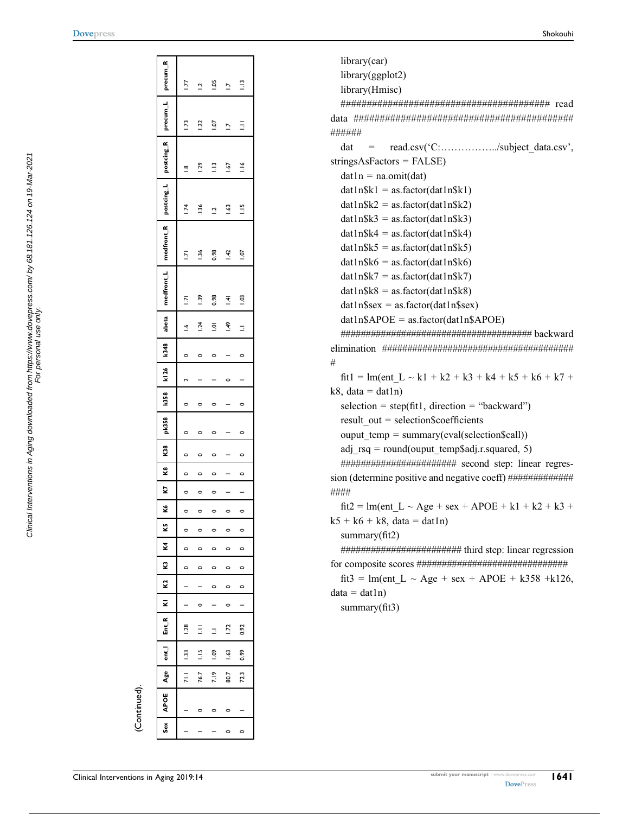|         | (Continued).                                 |               |                   |      |         |         |                |           |         |   |                |             |         |         |         |                |                      |                |                                                                                                                                                     |                |                |               |                  |                |
|---------|----------------------------------------------|---------------|-------------------|------|---------|---------|----------------|-----------|---------|---|----------------|-------------|---------|---------|---------|----------------|----------------------|----------------|-----------------------------------------------------------------------------------------------------------------------------------------------------|----------------|----------------|---------------|------------------|----------------|
|         | $Sex$ $APOE$ $Age$ $ent_1$ $Ent_R$ $K1$ $K2$ |               |                   |      |         |         | $\overline{a}$ | <b>K4</b> | 5       | ⊻ | $\overline{a}$ | $rac{1}{2}$ | R38     |         |         |                |                      |                | $\mid$ pk358 $\mid$ k358 $\mid$ k126 $\mid$ k348 $\mid$ abeta $\mid$ medfront_L $\mid$ medfront_R $\mid$ postcing_L $\mid$ precum_L $\mid$ precum_R |                |                |               |                  |                |
|         |                                              | $\frac{1}{2}$ | 1.33              | 1.28 |         |         | 0              |           | 0       |   | $\circ$        | $\circ$     | $\circ$ | 0       | $\circ$ | $\overline{a}$ | $\ddot{\phantom{0}}$ | $-1.6$         | $\overline{1}$                                                                                                                                      | $\bar{1}$      | 1.74           | $\frac{8}{1}$ | $\overline{.73}$ | 1.77           |
|         |                                              | 76.7          | $\frac{1}{2}$     | Ξ    |         |         | 0              | 0         | 0       |   | $\circ$        | $\circ$     | $\circ$ | 0       | 0       |                | $\circ$              | 1.24           | $\frac{39}{2}$                                                                                                                                      | $\frac{36}{2}$ | .136           | <b>1.29</b>   | 1.22             | $\overline{a}$ |
|         |                                              | 7.19          | $\frac{100}{100}$ | Ξ    |         | 0       | 0              | 0         | 0       |   | $\circ$        | $\circ$     | $\circ$ | 0       | $\circ$ |                | $\circ$              | $\overline{0}$ | 0.98                                                                                                                                                | 0.98           | $\overline{a}$ | $\tilde{=}$   | $\overline{5}$   | 1.05           |
| 0       |                                              | 80.7          | 1.63              | 1.72 | $\circ$ | 0       | $\circ$        | 0         | $\circ$ |   |                |             |         |         |         | $\circ$        |                      | $-1.49$        | 1.41                                                                                                                                                | $\frac{42}{5}$ | $\frac{63}{2}$ | 1.67          | $\overline{a}$   | $\overline{a}$ |
| $\circ$ |                                              | 72.3          | 0.99              | 0.92 |         | $\circ$ | $\circ$        | 0         | 0       |   |                | $\circ$     | $\circ$ | $\circ$ | $\circ$ |                | $\overline{a}$       | $\Rightarrow$  | 1.03                                                                                                                                                | $\overline{0}$ | $\frac{1}{2}$  | $\frac{1}{2}$ | E                | $\frac{1}{2}$  |

library(car) library(ggplot2) library(Hmisc) ######################################## read data ########################################## ###### dat = read.csv('C:................./subject\_data.csv', stringsAsFactors = FALSE)  $dat1n = na.omit(data)$  $dat1n$ \$k1 = as.factor(dat1n\$k1)  $dat1n$ \$k2 = as.factor(dat1n\$k2)  $dat1n$ \$k3 = as.factor(dat1n\$k3)  $dat1n$ \$k4 = as.factor(dat1n\$k4)  $dat1n$ \$k5 = as.factor(dat1n\$k5)  $dat1n$ \$k6 = as.factor(dat1n\$k6)  $dat1n$ \$k7 = as.factor(dat1n\$k7)  $dat1n$ \$k $8 = as.factor(data1n$ \$k $8)$  $dat1n$ \$sex = as.factor(dat1n\$sex)  $dat1n\$ APOE = as.factor(data1n\APOE) ###################################### backward elimination ###################################### # fit1 =  $lm(ent_L \sim k1 + k2 + k3 + k4 + k5 + k6 + k7 +$ k8, data =  $dat1n)$ selection = step(fit1, direction = "backward") result  $out = selection$ Scoefficients ouput\_temp = summary(eval(selection\$call)) adj  $rsq = round($ ouput temp\$adj.r.squared, 5) ####################### second step: linear regression (determine positive and negative coeff) ############# ####fit2 =  $lm(ent_L ~ \sim Age + sex + APOE + k1 + k2 + k3 +$  $k5 + k6 + k8$ , data = dat1n) summary( fit2) ######################## third step: linear regression for composite scores ############################## fit3 =  $lm(ent_L ~ \sim Age + sex + APOE + k358 + k126,$  $data = dat1n)$ summary( fit3) **Dove**press Shokouhi